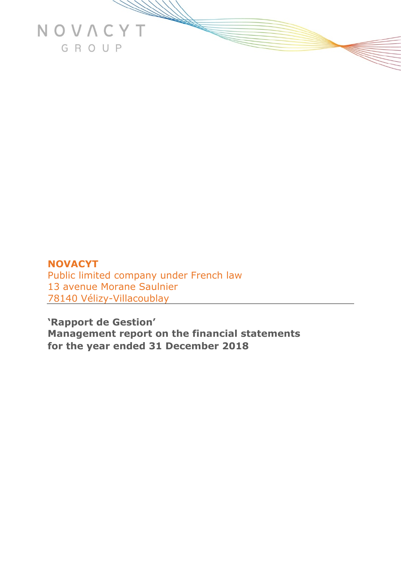

# **NOVACYT**  Public limited company under French law 13 avenue Morane Saulnier 78140 Vélizy-Villacoublay

**'Rapport de Gestion' Management report on the financial statements for the year ended 31 December 2018**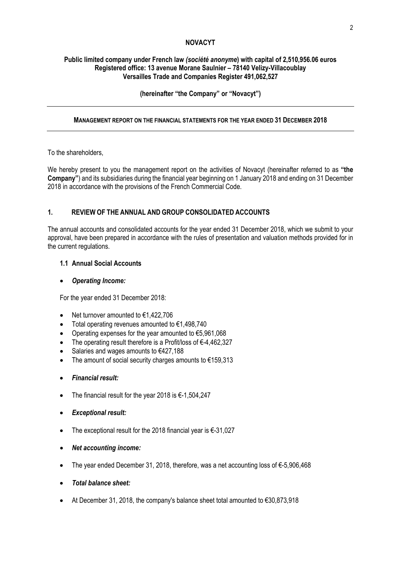## **NOVACYT**

## **Public limited company under French law** *(société anonyme***) with capital of 2,510,956.06 euros Registered office: 13 avenue Morane Saulnier – 78140 Velizy-Villacoublay Versailles Trade and Companies Register 491,062,527**

## **(hereinafter "the Company" or "Novacyt")**

#### **MANAGEMENT REPORT ON THE FINANCIAL STATEMENTS FOR THE YEAR ENDED 31 DECEMBER 2018**

#### To the shareholders,

We hereby present to you the management report on the activities of Novacyt (hereinafter referred to as **"the Company"**) and its subsidiaries during the financial year beginning on 1 January 2018 and ending on 31 December 2018 in accordance with the provisions of the French Commercial Code.

## **1. REVIEW OF THE ANNUAL AND GROUP CONSOLIDATED ACCOUNTS**

The annual accounts and consolidated accounts for the year ended 31 December 2018, which we submit to your approval, have been prepared in accordance with the rules of presentation and valuation methods provided for in the current regulations.

## **1.1 Annual Social Accounts**

## • *Operating Income:*

For the year ended 31 December 2018:

- Net turnover amounted to €1,422,706
- Total operating revenues amounted to  $€1,498,740$
- Operating expenses for the year amounted to €5,961,068
- The operating result therefore is a Profit/loss of €-4,462,327
- Salaries and wages amounts to €427,188
- The amount of social security charges amounts to  $€159,313$
- *Financial result:*
- The financial result for the year 2018 is €-1,504,247
- *Exceptional result:*
- The exceptional result for the 2018 financial year is €-31,027
- *Net accounting income:*
- The year ended December 31, 2018, therefore, was a net accounting loss of €-5,906,468
- *Total balance sheet:*
- At December 31, 2018, the company's balance sheet total amounted to €30,873,918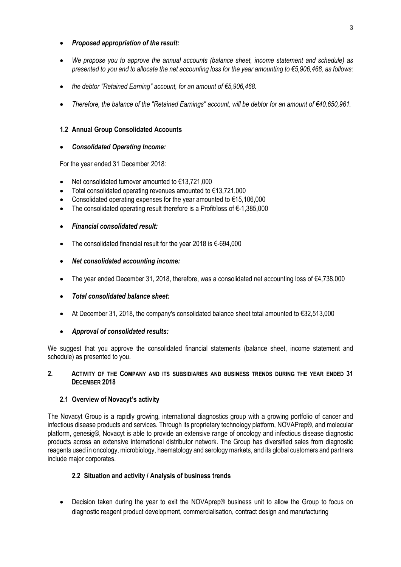## • *Proposed appropriation of the result:*

- *We propose you to approve the annual accounts (balance sheet, income statement and schedule) as presented to you and to allocate the net accounting loss for the year amounting to €5,906,468, as follows:*
- *the debtor "Retained Earning" account, for an amount of €5,906,468.*
- *Therefore, the balance of the "Retained Earnings" account, will be debtor for an amount of €40,650,961.*

#### **1.2 Annual Group Consolidated Accounts**

#### • *Consolidated Operating Income:*

For the year ended 31 December 2018:

- Net consolidated turnover amounted to  $€13,721,000$
- Total consolidated operating revenues amounted to €13,721,000
- Consolidated operating expenses for the year amounted to  $€15,106,000$
- The consolidated operating result therefore is a Profit/loss of €-1,385,000

## • *Financial consolidated result:*

- The consolidated financial result for the year 2018 is €-694,000
- *Net consolidated accounting income:*
- The year ended December 31, 2018, therefore, was a consolidated net accounting loss of  $\epsilon$ 4,738,000
- *Total consolidated balance sheet:*
- At December 31, 2018, the company's consolidated balance sheet total amounted to €32,513,000

#### • *Approval of consolidated results:*

We suggest that you approve the consolidated financial statements (balance sheet, income statement and schedule) as presented to you.

#### **2. ACTIVITY OF THE COMPANY AND ITS SUBSIDIARIES AND BUSINESS TRENDS DURING THE YEAR ENDED 31 DECEMBER 2018**

## **2.1 Overview of Novacyt's activity**

The Novacyt Group is a rapidly growing, international diagnostics group with a growing portfolio of cancer and infectious disease products and services. Through its proprietary technology platform, NOVAPrep®, and molecular platform, genesig®, Novacyt is able to provide an extensive range of oncology and infectious disease diagnostic products across an extensive international distributor network. The Group has diversified sales from diagnostic reagents used in oncology, microbiology, haematology and serology markets, and its global customers and partners include major corporates.

## **2.2 Situation and activity / Analysis of business trends**

• Decision taken during the year to exit the NOVAprep® business unit to allow the Group to focus on diagnostic reagent product development, commercialisation, contract design and manufacturing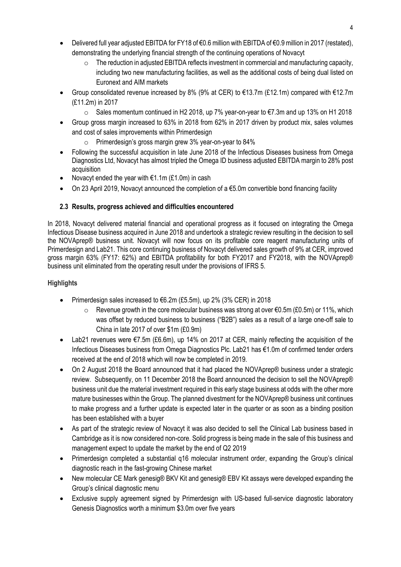- Delivered full year adjusted EBITDA for FY18 of €0.6 million with EBITDA of €0.9 million in 2017 (restated), demonstrating the underlying financial strength of the continuing operations of Novacyt
	- o The reduction in adjusted EBITDA reflects investment in commercial and manufacturing capacity, including two new manufacturing facilities, as well as the additional costs of being dual listed on Euronext and AIM markets
- Group consolidated revenue increased by 8% (9% at CER) to €13.7m (£12.1m) compared with €12.7m (£11.2m) in 2017
	- o Sales momentum continued in H2 2018, up 7% year-on-year to €7.3m and up 13% on H1 2018
- Group gross margin increased to 63% in 2018 from 62% in 2017 driven by product mix, sales volumes and cost of sales improvements within Primerdesign
	- o Primerdesign's gross margin grew 3% year-on-year to 84%
- Following the successful acquisition in late June 2018 of the Infectious Diseases business from Omega Diagnostics Ltd, Novacyt has almost tripled the Omega ID business adjusted EBITDA margin to 28% post acquisition
- Novacyt ended the year with  $f(1.1m)$  (£1.0m) in cash
- On 23 April 2019, Novacyt announced the completion of a €5.0m convertible bond financing facility

## **2.3 Results, progress achieved and difficulties encountered**

In 2018, Novacyt delivered material financial and operational progress as it focused on integrating the Omega Infectious Disease business acquired in June 2018 and undertook a strategic review resulting in the decision to sell the NOVAprep® business unit. Novacyt will now focus on its profitable core reagent manufacturing units of Primerdesign and Lab21. This core continuing business of Novacyt delivered sales growth of 9% at CER, improved gross margin 63% (FY17: 62%) and EBITDA profitability for both FY2017 and FY2018, with the NOVAprep® business unit eliminated from the operating result under the provisions of IFRS 5.

## **Highlights**

- Primerdesign sales increased to €6.2m (£5.5m), up 2% (3% CER) in 2018
	- o Revenue growth in the core molecular business was strong at over €0.5m (£0.5m) or 11%, which was offset by reduced business to business ("B2B") sales as a result of a large one-off sale to China in late 2017 of over \$1m (£0.9m)
- Lab21 revenues were  $E$ 7.5m (£6.6m), up 14% on 2017 at CER, mainly reflecting the acquisition of the Infectious Diseases business from Omega Diagnostics Plc. Lab21 has €1.0m of confirmed tender orders received at the end of 2018 which will now be completed in 2019.
- On 2 August 2018 the Board announced that it had placed the NOVAprep® business under a strategic review. Subsequently, on 11 December 2018 the Board announced the decision to sell the NOVAprep® business unit due the material investment required in this early stage business at odds with the other more mature businesses within the Group. The planned divestment for the NOVAprep® business unit continues to make progress and a further update is expected later in the quarter or as soon as a binding position has been established with a buyer
- As part of the strategic review of Novacyt it was also decided to sell the Clinical Lab business based in Cambridge as it is now considered non-core. Solid progress is being made in the sale of this business and management expect to update the market by the end of Q2 2019
- Primerdesign completed a substantial q16 molecular instrument order, expanding the Group's clinical diagnostic reach in the fast-growing Chinese market
- New molecular CE Mark genesig® BKV Kit and genesig® EBV Kit assays were developed expanding the Group's clinical diagnostic menu
- Exclusive supply agreement signed by Primerdesign with US-based full-service diagnostic laboratory Genesis Diagnostics worth a minimum \$3.0m over five years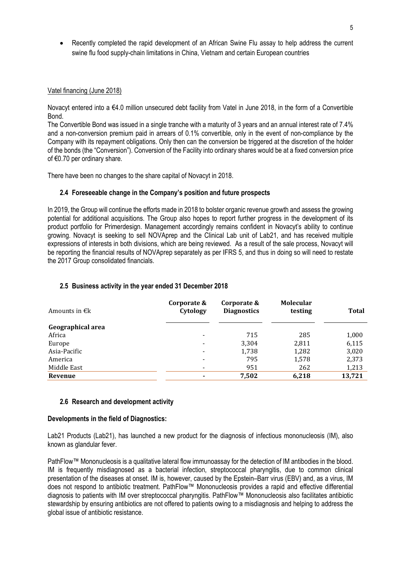• Recently completed the rapid development of an African Swine Flu assay to help address the current swine flu food supply-chain limitations in China, Vietnam and certain European countries

#### Vatel financing (June 2018)

Novacyt entered into a €4.0 million unsecured debt facility from Vatel in June 2018, in the form of a Convertible Bond.

The Convertible Bond was issued in a single tranche with a maturity of 3 years and an annual interest rate of 7.4% and a non-conversion premium paid in arrears of 0.1% convertible, only in the event of non-compliance by the Company with its repayment obligations. Only then can the conversion be triggered at the discretion of the holder of the bonds (the "Conversion"). Conversion of the Facility into ordinary shares would be at a fixed conversion price of €0.70 per ordinary share.

There have been no changes to the share capital of Novacyt in 2018.

#### **2.4 Foreseeable change in the Company's position and future prospects**

In 2019, the Group will continue the efforts made in 2018 to bolster organic revenue growth and assess the growing potential for additional acquisitions. The Group also hopes to report further progress in the development of its product portfolio for Primerdesign. Management accordingly remains confident in Novacyt's ability to continue growing. Novacyt is seeking to sell NOVAprep and the Clinical Lab unit of Lab21, and has received multiple expressions of interests in both divisions, which are being reviewed. As a result of the sale process, Novacyt will be reporting the financial results of NOVAprep separately as per IFRS 5, and thus in doing so will need to restate the 2017 Group consolidated financials.

| Amounts in $\epsilon$ k | Corporate &<br>Cytology  | Corporate &<br><b>Diagnostics</b> | <b>Molecular</b><br>testing | <b>Total</b> |
|-------------------------|--------------------------|-----------------------------------|-----------------------------|--------------|
| Geographical area       |                          |                                   |                             |              |
| Africa                  | $\overline{\phantom{a}}$ | 715                               | 285                         | 1,000        |
| Europe                  | $\overline{\phantom{a}}$ | 3,304                             | 2,811                       | 6,115        |
| Asia-Pacific            | $\overline{\phantom{a}}$ | 1,738                             | 1,282                       | 3,020        |
| America                 | $\overline{\phantom{a}}$ | 795                               | 1,578                       | 2,373        |
| Middle East             | $\overline{\phantom{a}}$ | 951                               | 262                         | 1,213        |
| Revenue                 | $\blacksquare$           | 7,502                             | 6,218                       | 13,721       |
|                         |                          |                                   |                             |              |

#### **2.5 Business activity in the year ended 31 December 2018**

#### **2.6 Research and development activity**

#### **Developments in the field of Diagnostics:**

Lab21 Products (Lab21), has launched a new product for the diagnosis of infectious mononucleosis (IM), also known as glandular fever.

PathFlow™ Mononucleosis is a qualitative lateral flow immunoassay for the detection of IM antibodies in the blood. IM is frequently misdiagnosed as a bacterial infection, streptococcal pharyngitis, due to common clinical presentation of the diseases at onset. IM is, however, caused by the Epstein–Barr virus (EBV) and, as a virus, IM does not respond to antibiotic treatment. PathFlow™ Mononucleosis provides a rapid and effective differential diagnosis to patients with IM over streptococcal pharyngitis. PathFlow™ Mononucleosis also facilitates antibiotic stewardship by ensuring antibiotics are not offered to patients owing to a misdiagnosis and helping to address the global issue of antibiotic resistance.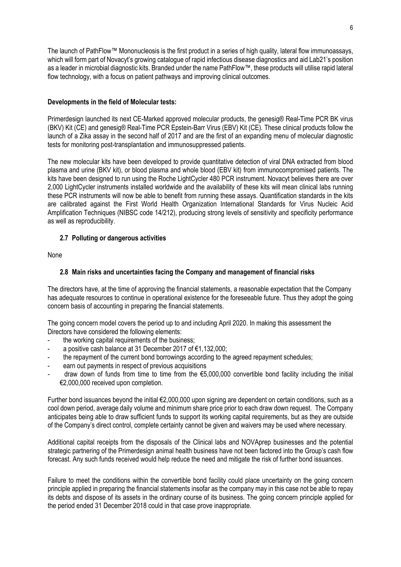The launch of PathFlow™ Mononucleosis is the first product in a series of high quality, lateral flow immunoassays, which will form part of Novacyt's growing catalogue of rapid infectious disease diagnostics and aid Lab21's position as a leader in microbial diagnostic kits. Branded under the name PathFlow™, these products will utilise rapid lateral flow technology, with a focus on patient pathways and improving clinical outcomes.

## **Developments in the field of Molecular tests:**

Primerdesign launched its next CE-Marked approved molecular products, the genesig® Real-Time PCR BK virus (BKV) Kit (CE) and genesig® Real-Time PCR Epstein-Barr Virus (EBV) Kit (CE). These clinical products follow the launch of a Zika assay in the second half of 2017 and are the first of an expanding menu of molecular diagnostic tests for monitoring post-transplantation and immunosuppressed patients.

The new molecular kits have been developed to provide quantitative detection of viral DNA extracted from blood plasma and urine (BKV kit), or blood plasma and whole blood (EBV kit) from immunocompromised patients. The kits have been designed to run using the Roche LightCycler 480 PCR instrument. Novacyt believes there are over 2,000 LightCycler instruments installed worldwide and the availability of these kits will mean clinical labs running these PCR instruments will now be able to benefit from running these assays. Quantification standards in the kits are calibrated against the First World Health Organization International Standards for Virus Nucleic Acid Amplification Techniques (NIBSC code 14/212), producing strong levels of sensitivity and specificity performance as well as reproducibility.

## **2.7 Polluting or dangerous activities**

None

## **2.8 Main risks and uncertainties facing the Company and management of financial risks**

The directors have, at the time of approving the financial statements, a reasonable expectation that the Company has adequate resources to continue in operational existence for the foreseeable future. Thus they adopt the going concern basis of accounting in preparing the financial statements.

The going concern model covers the period up to and including April 2020. In making this assessment the Directors have considered the following elements:

- the working capital requirements of the business;
- a positive cash balance at 31 December 2017 of  $\epsilon$ 1,132,000;
- the repayment of the current bond borrowings according to the agreed repayment schedules;
- earn out payments in respect of previous acquisitions
- draw down of funds from time to time from the  $\epsilon$ 5,000,000 convertible bond facility including the initial €2,000,000 received upon completion.

Further bond issuances beyond the initial €2,000,000 upon signing are dependent on certain conditions, such as a cool down period, average daily volume and minimum share price prior to each draw down request. The Company anticipates being able to draw sufficient funds to support its working capital requirements, but as they are outside of the Company's direct control, complete certainty cannot be given and waivers may be used where necessary.

Additional capital receipts from the disposals of the Clinical labs and NOVAprep businesses and the potential strategic partnering of the Primerdesign animal health business have not been factored into the Group's cash flow forecast. Any such funds received would help reduce the need and mitigate the risk of further bond issuances.

Failure to meet the conditions within the convertible bond facility could place uncertainty on the going concern principle applied in preparing the financial statements insofar as the company may in this case not be able to repay its debts and dispose of its assets in the ordinary course of its business. The going concern principle applied for the period ended 31 December 2018 could in that case prove inappropriate.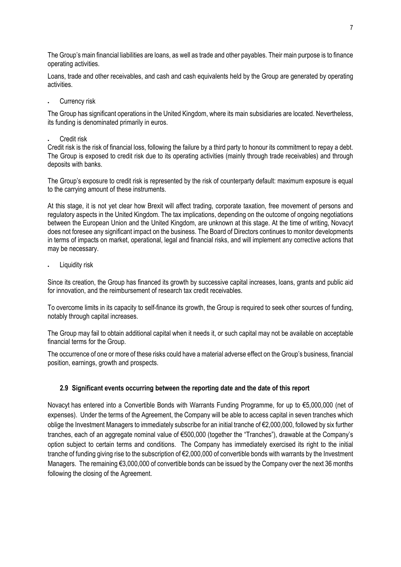The Group's main financial liabilities are loans, as well as trade and other payables. Their main purpose is to finance operating activities.

Loans, trade and other receivables, and cash and cash equivalents held by the Group are generated by operating activities.

Currency risk

The Group has significant operations in the United Kingdom, where its main subsidiaries are located. Nevertheless, its funding is denominated primarily in euros.

• Credit risk

Credit risk is the risk of financial loss, following the failure by a third party to honour its commitment to repay a debt. The Group is exposed to credit risk due to its operating activities (mainly through trade receivables) and through deposits with banks.

The Group's exposure to credit risk is represented by the risk of counterparty default: maximum exposure is equal to the carrying amount of these instruments.

At this stage, it is not yet clear how Brexit will affect trading, corporate taxation, free movement of persons and regulatory aspects in the United Kingdom. The tax implications, depending on the outcome of ongoing negotiations between the European Union and the United Kingdom, are unknown at this stage. At the time of writing, Novacyt does not foresee any significant impact on the business. The Board of Directors continues to monitor developments in terms of impacts on market, operational, legal and financial risks, and will implement any corrective actions that may be necessary.

Liquidity risk

Since its creation, the Group has financed its growth by successive capital increases, loans, grants and public aid for innovation, and the reimbursement of research tax credit receivables.

To overcome limits in its capacity to self-finance its growth, the Group is required to seek other sources of funding, notably through capital increases.

The Group may fail to obtain additional capital when it needs it, or such capital may not be available on acceptable financial terms for the Group.

The occurrence of one or more of these risks could have a material adverse effect on the Group's business, financial position, earnings, growth and prospects.

## **2.9 Significant events occurring between the reporting date and the date of this report**

Novacyt has entered into a Convertible Bonds with Warrants Funding Programme, for up to €5,000,000 (net of expenses). Under the terms of the Agreement, the Company will be able to access capital in seven tranches which oblige the Investment Managers to immediately subscribe for an initial tranche of €2,000,000, followed by six further tranches, each of an aggregate nominal value of €500,000 (together the "Tranches"), drawable at the Company's option subject to certain terms and conditions. The Company has immediately exercised its right to the initial tranche of funding giving rise to the subscription of €2,000,000 of convertible bonds with warrants by the Investment Managers. The remaining €3,000,000 of convertible bonds can be issued by the Company over the next 36 months following the closing of the Agreement.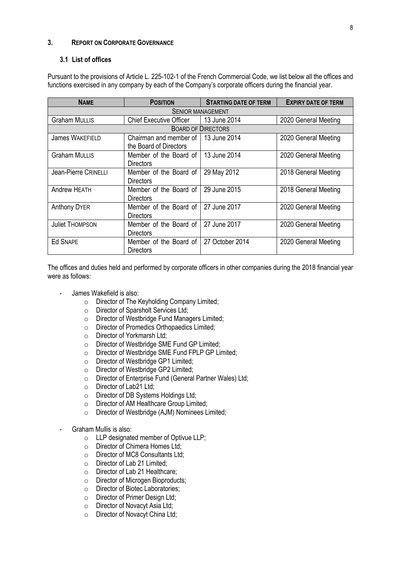## **3. REPORT ON CORPORATE GOVERNANCE**

#### **3.1 List of offices**

Pursuant to the provisions of Article L. 225-102-1 of the French Commercial Code, we list below all the offices and functions exercised in any company by each of the Company's corporate officers during the financial year.

| <b>NAME</b>              | <b>POSITION</b>                                  | <b>STARTING DATE OF TERM</b> | <b>EXPIRY DATE OF TERM</b> |  |  |  |  |
|--------------------------|--------------------------------------------------|------------------------------|----------------------------|--|--|--|--|
| <b>SENIOR MANAGEMENT</b> |                                                  |                              |                            |  |  |  |  |
| <b>Graham MULLIS</b>     | <b>Chief Executive Officer</b>                   | 13 June 2014                 | 2020 General Meeting       |  |  |  |  |
|                          |                                                  | <b>BOARD OF DIRECTORS</b>    |                            |  |  |  |  |
| James WAKEFIELD          | Chairman and member of<br>the Board of Directors | 13 June 2014                 | 2020 General Meeting       |  |  |  |  |
| <b>Graham MULLIS</b>     | Member of the Board of<br><b>Directors</b>       | 13 June 2014                 | 2020 General Meeting       |  |  |  |  |
| Jean-Pierre CRINELLI     | Member of the Board of<br><b>Directors</b>       | 29 May 2012                  | 2018 General Meeting       |  |  |  |  |
| <b>Andrew HEATH</b>      | Member of the Board of<br>Directors              | 29 June 2015                 | 2018 General Meeting       |  |  |  |  |
| <b>Anthony DYER</b>      | Member of the Board of<br>Directors              | 27 June 2017                 | 2020 General Meeting       |  |  |  |  |
| <b>Juliet THOMPSON</b>   | Member of the Board of<br><b>Directors</b>       | 27 June 2017                 | 2020 General Meeting       |  |  |  |  |
| <b>Ed SNAPE</b>          | Member of the Board of<br><b>Directors</b>       | 27 October 2014              | 2020 General Meeting       |  |  |  |  |

The offices and duties held and performed by corporate officers in other companies during the 2018 financial year were as follows:

- James Wakefield is also:
	- o Director of The Keyholding Company Limited;
	- o Director of Sparsholt Services Ltd;
	- $\circ$  Director of Westbridge Fund Managers Limited;<br>  $\circ$  Director of Promedics Orthopaedics Limited:
	- Director of Promedics Orthopaedics Limited;<br>○ Director of Yorkmarsh Ltd:
	- Director of Yorkmarsh Ltd:
	- o Director of Westbridge SME Fund GP Limited;
	- Director of Westbridge SME Fund FPLP GP Limited;<br>○ Director of Westbridge GP1 Limited:
	- Director of Westbridge GP1 Limited;<br>○ Director of Westbridge GP2 Limited;
	- Director of Westbridge GP2 Limited;<br>○ Director of Enterprise Fund (General
	- Director of Enterprise Fund (General Partner Wales) Ltd;
	- Director of Lab21 Ltd;<br>○ Director of DB System
	- Director of DB Systems Holdings Ltd;
	- Director of AM Healthcare Group Limited;<br>○ Director of Westbridge (AJM) Nominees L
	- Director of Westbridge (AJM) Nominees Limited;
- Graham Mullis is also:
	- o LLP designated member of Optivue LLP;
	- o Director of Chimera Homes Ltd;
	- o Director of MC8 Consultants Ltd;
	-
	- Director of Lab 21 Limited;<br>○ Director of Lab 21 Healthca
	- Director of Lab 21 Healthcare;<br>○ Director of Microgen Bioproduc Director of Microgen Bioproducts;
	- o Director of Biotec Laboratories;
	- o Director of Primer Design Ltd;
	- Director of Novacyt Asia Ltd;<br>○ Director of Novacyt China Ltd
	- Director of Novacyt China Ltd: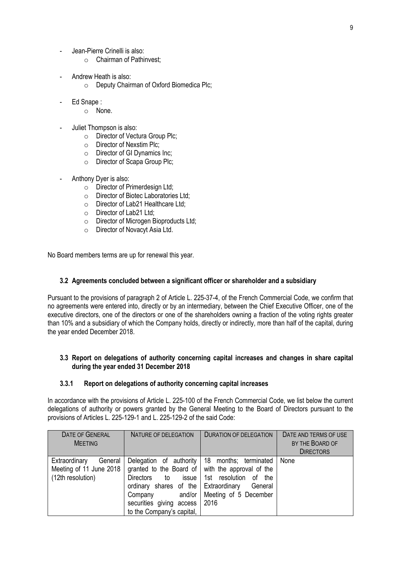- Jean-Pierre Crinelli is also:
	- o Chairman of Pathinvest;
- Andrew Heath is also:
	- o Deputy Chairman of Oxford Biomedica Plc;
- Ed Snape :
	- o None.
- Juliet Thompson is also:
	- o Director of Vectura Group Plc;
	- o Director of Nexstim Plc;
	- o Director of GI Dynamics Inc;
	- o Director of Scapa Group Plc;
- Anthony Dyer is also:
	- o Director of Primerdesign Ltd;
	- o Director of Biotec Laboratories Ltd;
	- o Director of Lab21 Healthcare Ltd;
	- o Director of Lab21 Ltd;
	- o Director of Microgen Bioproducts Ltd;
	- o Director of Novacyt Asia Ltd.

No Board members terms are up for renewal this year.

#### **3.2 Agreements concluded between a significant officer or shareholder and a subsidiary**

Pursuant to the provisions of paragraph 2 of Article L. 225-37-4, of the French Commercial Code, we confirm that no agreements were entered into, directly or by an intermediary, between the Chief Executive Officer, one of the executive directors, one of the directors or one of the shareholders owning a fraction of the voting rights greater than 10% and a subsidiary of which the Company holds, directly or indirectly, more than half of the capital, during the year ended December 2018.

## **3.3 Report on delegations of authority concerning capital increases and changes in share capital during the year ended 31 December 2018**

## **3.3.1 Report on delegations of authority concerning capital increases**

In accordance with the provisions of Article L. 225-100 of the French Commercial Code, we list below the current delegations of authority or powers granted by the General Meeting to the Board of Directors pursuant to the provisions of Articles L. 225-129-1 and L. 225-129-2 of the said Code:

| <b>DATE OF GENERAL</b><br><b>MEETING</b>                                 | NATURE OF DELEGATION                                                                                                                                       | <b>DURATION OF DELEGATION</b>                                                                                                                                                | DATE AND TERMS OF USE<br>BY THE BOARD OF<br><b>DIRECTORS</b> |
|--------------------------------------------------------------------------|------------------------------------------------------------------------------------------------------------------------------------------------------------|------------------------------------------------------------------------------------------------------------------------------------------------------------------------------|--------------------------------------------------------------|
| Extraordinary<br>General<br>Meeting of 11 June 2018<br>(12th resolution) | <b>Directors</b><br>to to<br>issue  <br>ordinary shares of the Extraordinary<br>and/or<br>Company<br>securities giving access<br>to the Company's capital, | Delegation of authority 18 months; terminated<br>granted to the Board of with the approval of the<br>1st resolution<br>the<br>οf<br>General<br>Meeting of 5 December<br>2016 | None                                                         |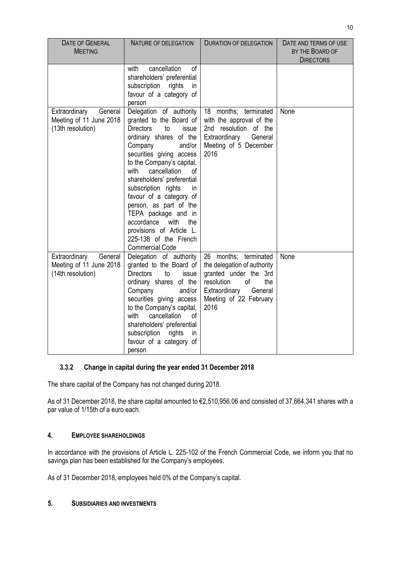| <b>DATE OF GENERAL</b><br><b>MEETING</b>                                 | <b>NATURE OF DELEGATION</b>                                                                                                                                                                                                                                                                                                                                                                                                                                                     | <b>DURATION OF DELEGATION</b>                                                                                                                                          | DATE AND TERMS OF USE<br>BY THE BOARD OF<br><b>DIRECTORS</b> |
|--------------------------------------------------------------------------|---------------------------------------------------------------------------------------------------------------------------------------------------------------------------------------------------------------------------------------------------------------------------------------------------------------------------------------------------------------------------------------------------------------------------------------------------------------------------------|------------------------------------------------------------------------------------------------------------------------------------------------------------------------|--------------------------------------------------------------|
|                                                                          | cancellation<br>of<br>with<br>shareholders' preferential<br>subscription<br>rights<br>in<br>favour of a category of<br>person                                                                                                                                                                                                                                                                                                                                                   |                                                                                                                                                                        |                                                              |
| Extraordinary<br>General<br>Meeting of 11 June 2018<br>(13th resolution) | Delegation of authority<br>granted to the Board of<br><b>Directors</b><br>to<br>issue<br>ordinary shares of the<br>Company<br>and/or<br>securities giving access<br>to the Company's capital,<br>cancellation<br>with<br>of<br>shareholders' preferential<br>subscription rights<br>in.<br>favour of a category of<br>person, as part of the<br>TEPA package and in<br>accordance<br>with<br>the<br>provisions of Article L.<br>225-138 of the French<br><b>Commercial Code</b> | 18 months; terminated<br>with the approval of the<br>2nd resolution of the<br>Extraordinary<br>General<br>Meeting of 5 December<br>2016                                | None                                                         |
| Extraordinary<br>General<br>Meeting of 11 June 2018<br>(14th resolution) | Delegation of authority<br>granted to the Board of<br><b>Directors</b><br>to<br>issue<br>ordinary shares of the<br>Company<br>and/or<br>securities giving access<br>to the Company's capital,<br>with<br>cancellation<br>of<br>shareholders' preferential<br>subscription<br>rights<br>in<br>favour of a category of<br>person                                                                                                                                                  | 26 months; terminated<br>the delegation of authority<br>granted under the 3rd<br>resolution<br>of<br>the<br>Extraordinary<br>General<br>Meeting of 22 February<br>2016 | None                                                         |

## **3.3.2 Change in capital during the year ended 31 December 2018**

The share capital of the Company has not changed during 2018.

As of 31 December 2018, the share capital amounted to €2,510,956.06 and consisted of 37,664,341 shares with a par value of 1/15th of a euro each.

## **4. EMPLOYEE SHAREHOLDINGS**

In accordance with the provisions of Article L. 225-102 of the French Commercial Code, we inform you that no savings plan has been established for the Company's employees.

As of 31 December 2018, employees held 0% of the Company's capital.

#### **5. SUBSIDIARIES AND INVESTMENTS**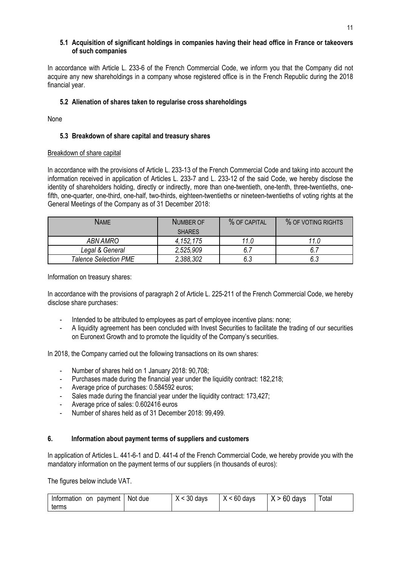## **5.1 Acquisition of significant holdings in companies having their head office in France or takeovers of such companies**

In accordance with Article L. 233-6 of the French Commercial Code, we inform you that the Company did not acquire any new shareholdings in a company whose registered office is in the French Republic during the 2018 financial year.

## **5.2 Alienation of shares taken to regularise cross shareholdings**

None

## **5.3 Breakdown of share capital and treasury shares**

#### Breakdown of share capital

In accordance with the provisions of Article L. 233-13 of the French Commercial Code and taking into account the information received in application of Articles L. 233-7 and L. 233-12 of the said Code, we hereby disclose the identity of shareholders holding, directly or indirectly, more than one-twentieth, one-tenth, three-twentieths, onefifth, one-quarter, one-third, one-half, two-thirds, eighteen-twentieths or nineteen-twentieths of voting rights at the General Meetings of the Company as of 31 December 2018:

| <b>NAME</b>                  | NUMBER OF     | % OF CAPITAL | % OF VOTING RIGHTS |
|------------------------------|---------------|--------------|--------------------|
|                              | <b>SHARES</b> |              |                    |
| ABN AMRO                     | 4,152,175     | 11.0         | 11.0               |
| Legal & General              | 2,525,909     | 6.7          |                    |
| <b>Talence Selection PME</b> | 2,388,302     | 6.3          | 6.3                |

Information on treasury shares:

In accordance with the provisions of paragraph 2 of Article L. 225-211 of the French Commercial Code, we hereby disclose share purchases:

- Intended to be attributed to employees as part of employee incentive plans: none;
- A liquidity agreement has been concluded with Invest Securities to facilitate the trading of our securities on Euronext Growth and to promote the liquidity of the Company's securities.

In 2018, the Company carried out the following transactions on its own shares:

- Number of shares held on 1 January 2018: 90,708;
- Purchases made during the financial year under the liquidity contract: 182,218;
- Average price of purchases: 0.584592 euros;
- Sales made during the financial year under the liquidity contract: 173,427;
- Average price of sales: 0.602416 euros
- Number of shares held as of 31 December 2018: 99,499.

#### **6. Information about payment terms of suppliers and customers**

In application of Articles L. 441-6-1 and D. 441-4 of the French Commercial Code, we hereby provide you with the mandatory information on the payment terms of our suppliers (in thousands of euros):

The figures below include VAT.

| payment<br>Information<br>on | Not due | $\sim$ 30 days | $X < 60$ days | $X > 60$ days | Total |
|------------------------------|---------|----------------|---------------|---------------|-------|
| terms                        |         |                |               |               |       |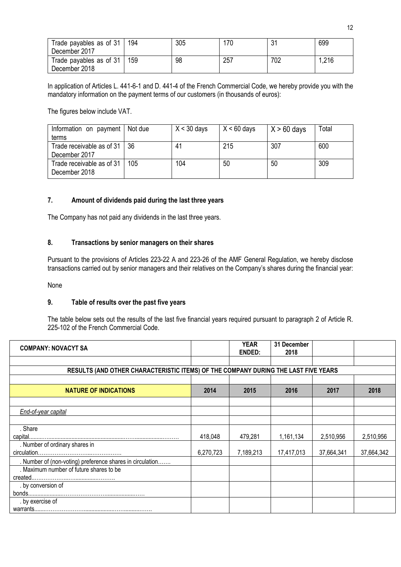| Trade payables as of 31<br>December 2017 | 194 | 305 | 170 | ، و | 699   |
|------------------------------------------|-----|-----|-----|-----|-------|
| Trade payables as of 31<br>December 2018 | 159 | 98  | 257 | 702 | 1,216 |

In application of Articles L. 441-6-1 and D. 441-4 of the French Commercial Code, we hereby provide you with the mandatory information on the payment terms of our customers (in thousands of euros):

The figures below include VAT.

| Information on payment   Not due<br>terms       |     | $X < 30$ days | $X < 60$ days | $\vert$ X > 60 days | Total |
|-------------------------------------------------|-----|---------------|---------------|---------------------|-------|
| Trade receivable as of 31   36<br>December 2017 |     | 41            | 215           | 307                 | 600   |
| Trade receivable as of 31<br>December 2018      | 105 | 104           | 50            | 50                  | 309   |

## **7. Amount of dividends paid during the last three years**

The Company has not paid any dividends in the last three years.

## **8. Transactions by senior managers on their shares**

Pursuant to the provisions of Articles 223-22 A and 223-26 of the AMF General Regulation, we hereby disclose transactions carried out by senior managers and their relatives on the Company's shares during the financial year:

None

#### **9. Table of results over the past five years**

The table below sets out the results of the last five financial years required pursuant to paragraph 2 of Article R. 225-102 of the French Commercial Code.

| <b>COMPANY: NOVACYT SA</b>                                                         |           | <b>YEAR</b><br>ENDED: | 31 December<br>2018 |            |            |
|------------------------------------------------------------------------------------|-----------|-----------------------|---------------------|------------|------------|
| RESULTS (AND OTHER CHARACTERISTIC ITEMS) OF THE COMPANY DURING THE LAST FIVE YEARS |           |                       |                     |            |            |
|                                                                                    |           |                       |                     |            |            |
| <b>NATURE OF INDICATIONS</b>                                                       | 2014      | 2015                  | 2016                | 2017       | 2018       |
|                                                                                    |           |                       |                     |            |            |
| End-of-year capital                                                                |           |                       |                     |            |            |
|                                                                                    |           |                       |                     |            |            |
| . Share                                                                            |           |                       |                     |            |            |
|                                                                                    | 418,048   | 479,281               | 1,161,134           | 2,510,956  | 2,510,956  |
| . Number of ordinary shares in                                                     |           |                       |                     |            |            |
|                                                                                    | 6,270,723 | 7,189,213             | 17,417,013          | 37,664,341 | 37,664,342 |
| . Number of (non-voting) preference shares in circulation                          |           |                       |                     |            |            |
| . Maximum number of future shares to be                                            |           |                       |                     |            |            |
|                                                                                    |           |                       |                     |            |            |
| . by conversion of                                                                 |           |                       |                     |            |            |
|                                                                                    |           |                       |                     |            |            |
| . by exercise of                                                                   |           |                       |                     |            |            |
|                                                                                    |           |                       |                     |            |            |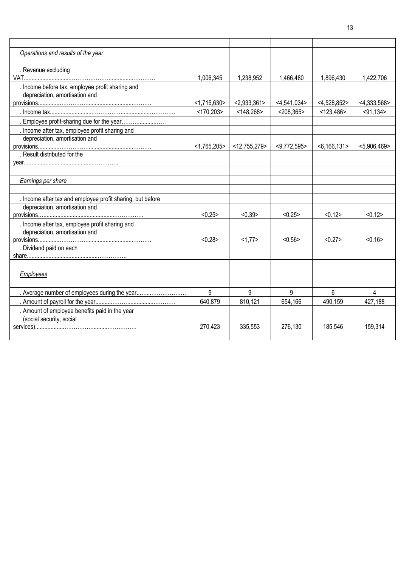| Operations and results of the year                         |                |                 |                |                |                |
|------------------------------------------------------------|----------------|-----------------|----------------|----------------|----------------|
|                                                            |                |                 |                |                |                |
| . Revenue excluding                                        |                |                 |                |                |                |
|                                                            | 1,006,345      | 1,238,952       | 1,466,480      | 1,896,430      | 1,422,706      |
| . Income before tax, employee profit sharing and           |                |                 |                |                |                |
| depreciation, amortisation and                             |                |                 |                |                |                |
|                                                            | <1,715,630>    | < 2.933.361     | $<$ 4,541,034> | $<$ 4,528,852> | $<$ 4,333,568> |
|                                                            | $<$ 170,203>   | < 148,268       | $<$ 208,365>   | < 123,486      | < 91,134       |
| . Employee profit-sharing due for the year                 |                |                 |                |                |                |
| . Income after tax, employee profit sharing and            |                |                 |                |                |                |
| depreciation, amortisation and                             |                |                 |                |                |                |
|                                                            | $<$ 1,765,205> | $<$ 12,755,279> | $<$ 9,772,595> | $<$ 6,166,131> | $<$ 5,906,469> |
| . Result distributed for the                               |                |                 |                |                |                |
|                                                            |                |                 |                |                |                |
|                                                            |                |                 |                |                |                |
| Earnings per share                                         |                |                 |                |                |                |
|                                                            |                |                 |                |                |                |
| . Income after tax and employee profit sharing, but before |                |                 |                |                |                |
| depreciation, amortisation and                             |                |                 |                |                |                |
|                                                            | < 0.25         | < 0.39          | < 0.25         | < 0.12         | < 0.12         |
| . Income after tax, employee profit sharing and            |                |                 |                |                |                |
| depreciation, amortisation and                             |                |                 |                |                |                |
|                                                            | < 0.28         | <1,77>          | < 0.56         | < 0.27         | < 0.16         |
| . Dividend paid on each                                    |                |                 |                |                |                |
|                                                            |                |                 |                |                |                |
|                                                            |                |                 |                |                |                |
| Employees                                                  |                |                 |                |                |                |
|                                                            |                |                 |                |                |                |
| . Average number of employees during the year              | 9              | 9               | 9              | 6              | 4              |
|                                                            | 640,879        | 810,121         | 654,166        | 490,159        | 427,188        |
| . Amount of employee benefits paid in the year             |                |                 |                |                |                |
| (social security, social                                   |                |                 |                |                |                |
|                                                            | 270,423        | 335,553         | 276,130        | 185.546        | 159,314        |
|                                                            |                |                 |                |                |                |

13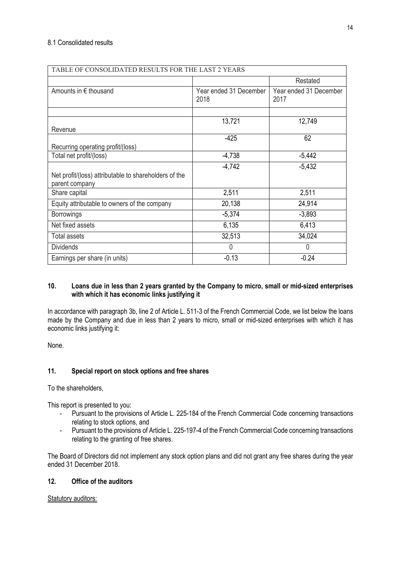| TABLE OF CONSOLIDATED RESULTS FOR THE LAST 2 YEARS    |                                |                                |
|-------------------------------------------------------|--------------------------------|--------------------------------|
|                                                       |                                | Restated                       |
| Amounts in € thousand                                 | Year ended 31 December<br>2018 | Year ended 31 December<br>2017 |
|                                                       |                                |                                |
|                                                       | 13,721                         | 12,749                         |
| Revenue                                               |                                |                                |
| Recurring operating profit/(loss)                     | $-425$                         | 62                             |
| Total net profit/(loss)                               | $-4,738$                       | $-5,442$                       |
| Net profit/(loss) attributable to shareholders of the | $-4,742$                       | $-5,432$                       |
| parent company<br>Share capital                       | 2,511                          | 2,511                          |
| Equity attributable to owners of the company          | 20,138                         | 24,914                         |
| <b>Borrowings</b>                                     | $-5,374$                       | $-3,893$                       |
| Net fixed assets                                      | 6,135                          | 6,413                          |
| <b>Total assets</b>                                   | 32,513                         | 34,024                         |
| <b>Dividends</b>                                      | $\mathbf{0}$                   | 0                              |
| Earnings per share (in units)                         | $-0.13$                        | $-0.24$                        |

## **10. Loans due in less than 2 years granted by the Company to micro, small or mid-sized enterprises with which it has economic links justifying it**

In accordance with paragraph 3b, line 2 of Article L. 511-3 of the French Commercial Code, we list below the loans made by the Company and due in less than 2 years to micro, small or mid-sized enterprises with which it has economic links justifying it:

None.

## **11. Special report on stock options and free shares**

To the shareholders,

This report is presented to you:

- Pursuant to the provisions of Article L. 225-184 of the French Commercial Code concerning transactions relating to stock options, and
- Pursuant to the provisions of Article L. 225-197-4 of the French Commercial Code concerning transactions relating to the granting of free shares.

The Board of Directors did not implement any stock option plans and did not grant any free shares during the year ended 31 December 2018.

## **12. Office of the auditors**

Statutory auditors: